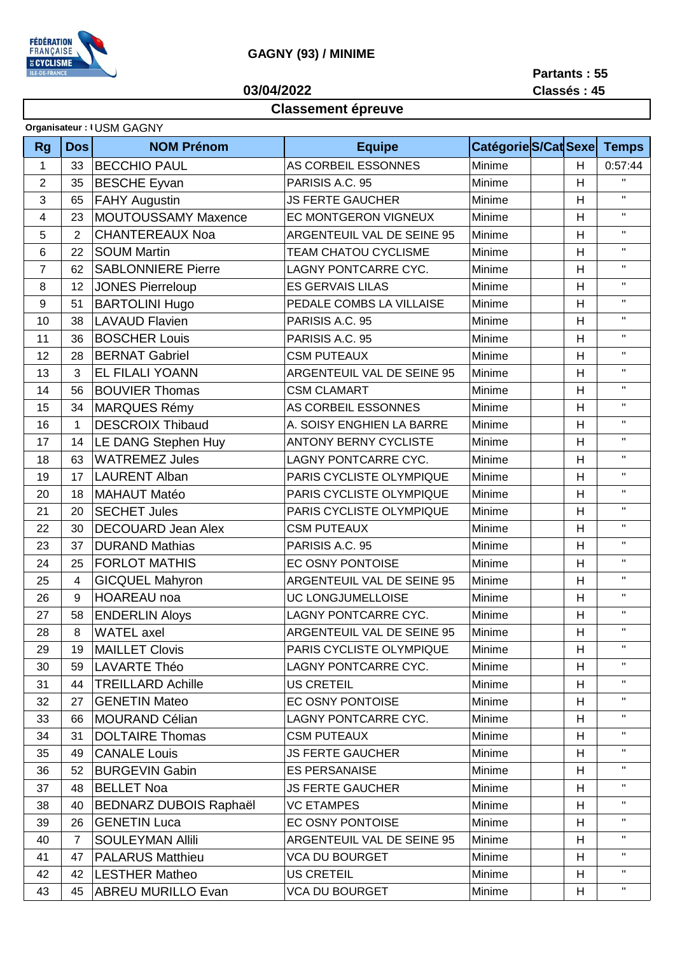

## GAGNY (93) / MINIME

03/04/2022

Partants: 55 Classés: 45

## Classement épreuve

| <b>Rg</b>      | <b>Dos</b>     | <b>NOM Prénom</b>             | <b>Equipe</b>                |        | Catégorie S/Cat Sexe | <b>Temps</b>              |
|----------------|----------------|-------------------------------|------------------------------|--------|----------------------|---------------------------|
| 1              | 33             | <b>BECCHIO PAUL</b>           | AS CORBEIL ESSONNES          | Minime | H                    | 0:57:44                   |
| $\overline{2}$ | 35             | <b>BESCHE Eyvan</b>           | PARISIS A.C. 95              | Minime | H                    | $\bar{\mathbf{H}}$        |
| 3              | 65             | <b>FAHY Augustin</b>          | <b>JS FERTE GAUCHER</b>      | Minime | H                    | $\mathbf{H}$              |
| 4              | 23             | MOUTOUSSAMY Maxence           | EC MONTGERON VIGNEUX         | Minime | H                    | $\bar{\mathbf{H}}$        |
| 5              | $\overline{2}$ | <b>CHANTEREAUX Noa</b>        | ARGENTEUIL VAL DE SEINE 95   | Minime | H                    | $\mathbf{H}$              |
| 6              | 22             | <b>SOUM Martin</b>            | <b>TEAM CHATOU CYCLISME</b>  | Minime | H                    | $\mathbf{H}$              |
| $\overline{7}$ | 62             | <b>SABLONNIERE Pierre</b>     | LAGNY PONTCARRE CYC.         | Minime | H                    | $\mathbf{H}$              |
| 8              | 12             | <b>JONES Pierreloup</b>       | <b>ES GERVAIS LILAS</b>      | Minime | H                    | $\bar{\mathbf{H}}$        |
| 9              | 51             | <b>BARTOLINI Hugo</b>         | PEDALE COMBS LA VILLAISE     | Minime | H                    | $\mathbf{H}$              |
| 10             | 38             | <b>LAVAUD Flavien</b>         | PARISIS A.C. 95              | Minime | H                    | $\mathbf{H}$              |
| 11             | 36             | <b>BOSCHER Louis</b>          | PARISIS A.C. 95              | Minime | H                    | $\mathbf{H}$              |
| 12             | 28             | <b>BERNAT Gabriel</b>         | <b>CSM PUTEAUX</b>           | Minime | Н                    | $\mathbf{H}$              |
| 13             | 3              | <b>EL FILALI YOANN</b>        | ARGENTEUIL VAL DE SEINE 95   | Minime | H                    | $\mathbf{H}$              |
| 14             | 56             | <b>BOUVIER Thomas</b>         | <b>CSM CLAMART</b>           | Minime | H                    | $\boldsymbol{\mathsf{H}}$ |
| 15             | 34             | <b>MARQUES Rémy</b>           | AS CORBEIL ESSONNES          | Minime | H                    | $\boldsymbol{\mathsf{H}}$ |
| 16             | 1              | <b>DESCROIX Thibaud</b>       | A. SOISY ENGHIEN LA BARRE    | Minime | H                    | $\boldsymbol{\mathsf{H}}$ |
| 17             | 14             | LE DANG Stephen Huy           | <b>ANTONY BERNY CYCLISTE</b> | Minime | H                    | $\mathbf{H}$              |
| 18             | 63             | <b>WATREMEZ Jules</b>         | <b>LAGNY PONTCARRE CYC.</b>  | Minime | H                    | $\mathbf{H}$              |
| 19             | 17             | <b>LAURENT Alban</b>          | PARIS CYCLISTE OLYMPIQUE     | Minime | H                    | $\mathbf{H}$              |
| 20             | 18             | <b>MAHAUT Matéo</b>           | PARIS CYCLISTE OLYMPIQUE     | Minime | H                    | $\mathbf{H}$              |
| 21             | 20             | <b>SECHET Jules</b>           | PARIS CYCLISTE OLYMPIQUE     | Minime | H                    | $\mathbf{H}$              |
| 22             | 30             | <b>DECOUARD Jean Alex</b>     | <b>CSM PUTEAUX</b>           | Minime | H                    | $\mathbf{H}$              |
| 23             | 37             | <b>DURAND Mathias</b>         | PARISIS A.C. 95              | Minime | H                    | $\mathbf{H}$              |
| 24             | 25             | <b>FORLOT MATHIS</b>          | EC OSNY PONTOISE             | Minime | H                    | $\mathbf{H}$              |
| 25             | 4              | <b>GICQUEL Mahyron</b>        | ARGENTEUIL VAL DE SEINE 95   | Minime | H                    | $\mathbf{H}$              |
| 26             | 9              | <b>HOAREAU</b> noa            | UC LONGJUMELLOISE            | Minime | H                    | $\boldsymbol{\mathsf{H}}$ |
| 27             | 58             | <b>ENDERLIN Aloys</b>         | LAGNY PONTCARRE CYC.         | Minime | H                    | $\boldsymbol{\mathsf{H}}$ |
| 28             | 8              | <b>WATEL</b> axel             | ARGENTEUIL VAL DE SEINE 95   | Minime | H                    | $\boldsymbol{\mathsf{H}}$ |
| 29             | 19             | <b>MAILLET Clovis</b>         | PARIS CYCLISTE OLYMPIQUE     | Minime | H                    | $\blacksquare$            |
| 30             | 59             | <b>LAVARTE Théo</b>           | LAGNY PONTCARRE CYC.         | Minime | H                    | $\mathbf{H}$              |
| 31             | 44             | <b>TREILLARD Achille</b>      | <b>US CRETEIL</b>            | Minime | H                    | $\mathbf{H}$              |
| 32             | 27             | <b>GENETIN Mateo</b>          | EC OSNY PONTOISE             | Minime | H                    | $\mathbf{H}$              |
| 33             | 66             | <b>MOURAND Célian</b>         | LAGNY PONTCARRE CYC.         | Minime | H                    | $\pmb{\mathsf{H}}$        |
| 34             | 31             | <b>DOLTAIRE Thomas</b>        | <b>CSM PUTEAUX</b>           | Minime | H                    | $\pmb{\mathsf{H}}$        |
| 35             | 49             | <b>CANALE Louis</b>           | <b>JS FERTE GAUCHER</b>      | Minime | H                    | $\pmb{\mathsf{H}}$        |
| 36             | 52             | <b>BURGEVIN Gabin</b>         | <b>ES PERSANAISE</b>         | Minime | H                    | $\mathbf{H}$              |
| 37             | 48             | <b>BELLET Noa</b>             | <b>JS FERTE GAUCHER</b>      | Minime | H                    | $\boldsymbol{\mathsf{H}}$ |
| 38             | 40             | <b>BEDNARZ DUBOIS Raphaël</b> | VC ETAMPES                   | Minime | H                    | $\mathbf{H}$              |
| 39             | 26             | <b>GENETIN Luca</b>           | EC OSNY PONTOISE             | Minime | H                    | $\mathbf{H}$              |
| 40             | $\overline{7}$ | <b>SOULEYMAN Allili</b>       | ARGENTEUIL VAL DE SEINE 95   | Minime | H                    | $\pmb{\mathsf{H}}$        |
| 41             | 47             | <b>PALARUS Matthieu</b>       | <b>VCA DU BOURGET</b>        | Minime | H                    | $\mathbf{H}$              |
| 42             | 42             | <b>LESTHER Matheo</b>         | <b>US CRETEIL</b>            | Minime | H                    | $\pmb{\mathsf{H}}$        |
| 43             | 45             | <b>ABREU MURILLO Evan</b>     | <b>VCA DU BOURGET</b>        | Minime | H                    | $\mathbf{H}$              |